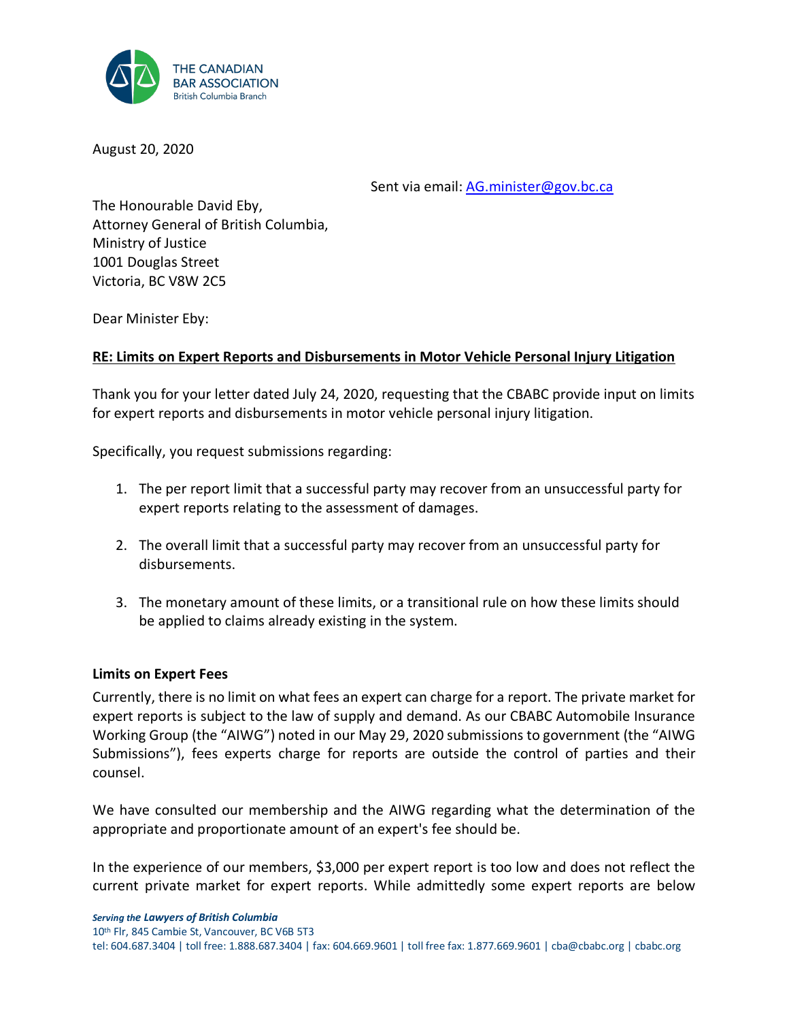

August 20, 2020

Sent via email: AG.minister@gov.bc.ca

The Honourable David Eby, Attorney General of British Columbia, Ministry of Justice 1001 Douglas Street Victoria, BC V8W 2C5

Dear Minister Eby:

## **RE: Limits on Expert Reports and Disbursements in Motor Vehicle Personal Injury Litigation**

Thank you for your letter dated July 24, 2020, requesting that the CBABC provide input on limits for expert reports and disbursements in motor vehicle personal injury litigation.

Specifically, you request submissions regarding:

- 1. The per report limit that a successful party may recover from an unsuccessful party for expert reports relating to the assessment of damages.
- 2. The overall limit that a successful party may recover from an unsuccessful party for disbursements.
- 3. The monetary amount of these limits, or a transitional rule on how these limits should be applied to claims already existing in the system.

## **Limits on Expert Fees**

Currently, there is no limit on what fees an expert can charge for a report. The private market for expert reports is subject to the law of supply and demand. As our CBABC Automobile Insurance Working Group (the "AIWG") noted in our May 29, 2020 submissions to government (the "AIWG Submissions"), fees experts charge for reports are outside the control of parties and their counsel.

We have consulted our membership and the AIWG regarding what the determination of the appropriate and proportionate amount of an expert's fee should be.

In the experience of our members, \$3,000 per expert report is too low and does not reflect the current private market for expert reports. While admittedly some expert reports are below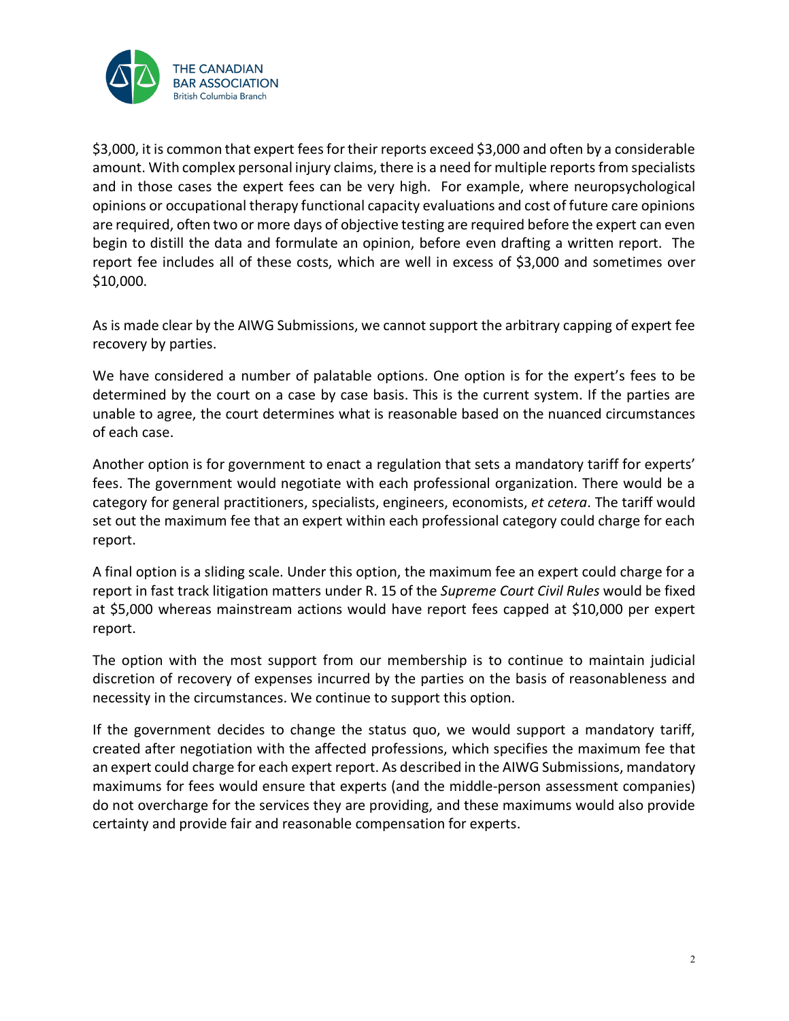

\$3,000, it is common that expert fees for their reports exceed \$3,000 and often by a considerable amount. With complex personal injury claims, there is a need for multiple reports from specialists and in those cases the expert fees can be very high. For example, where neuropsychological opinions or occupational therapy functional capacity evaluations and cost of future care opinions are required, often two or more days of objective testing are required before the expert can even begin to distill the data and formulate an opinion, before even drafting a written report. The report fee includes all of these costs, which are well in excess of \$3,000 and sometimes over \$10,000.

As is made clear by the AIWG Submissions, we cannot support the arbitrary capping of expert fee recovery by parties.

We have considered a number of palatable options. One option is for the expert's fees to be determined by the court on a case by case basis. This is the current system. If the parties are unable to agree, the court determines what is reasonable based on the nuanced circumstances of each case.

Another option is for government to enact a regulation that sets a mandatory tariff for experts' fees. The government would negotiate with each professional organization. There would be a category for general practitioners, specialists, engineers, economists, *et cetera*. The tariff would set out the maximum fee that an expert within each professional category could charge for each report.

A final option is a sliding scale. Under this option, the maximum fee an expert could charge for a report in fast track litigation matters under R. 15 of the *Supreme Court Civil Rules* would be fixed at \$5,000 whereas mainstream actions would have report fees capped at \$10,000 per expert report.

The option with the most support from our membership is to continue to maintain judicial discretion of recovery of expenses incurred by the parties on the basis of reasonableness and necessity in the circumstances. We continue to support this option.

If the government decides to change the status quo, we would support a mandatory tariff, created after negotiation with the affected professions, which specifies the maximum fee that an expert could charge for each expert report. As described in the AIWG Submissions, mandatory maximums for fees would ensure that experts (and the middle-person assessment companies) do not overcharge for the services they are providing, and these maximums would also provide certainty and provide fair and reasonable compensation for experts.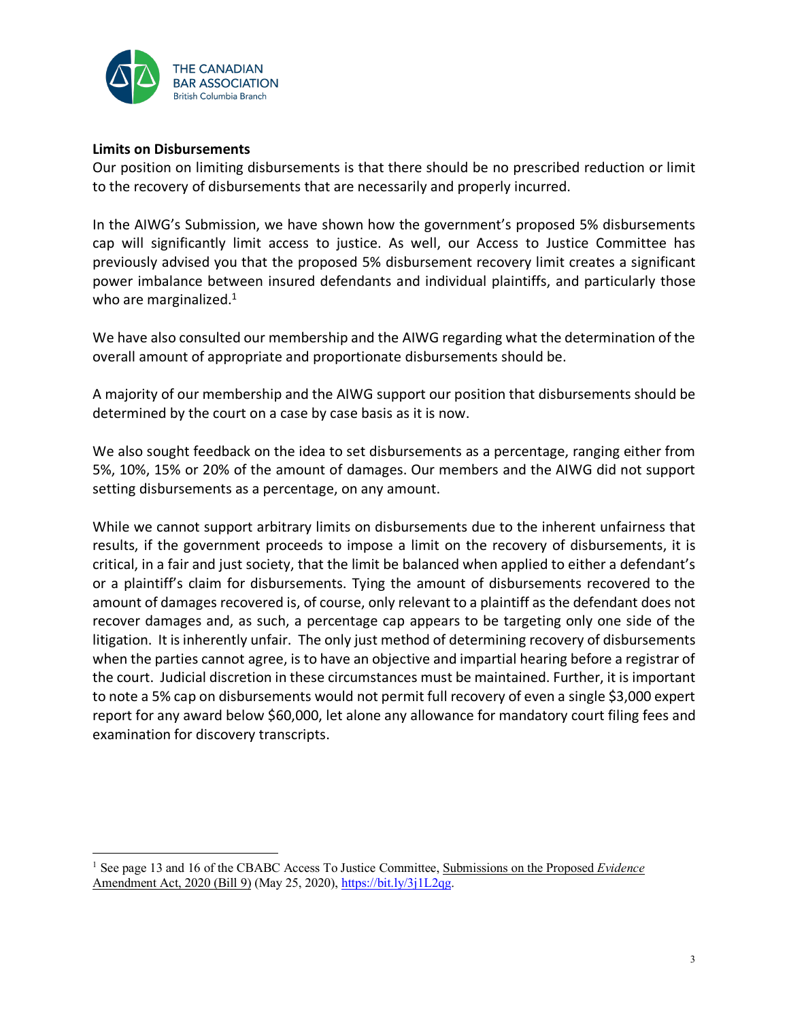

## **Limits on Disbursements**

Our position on limiting disbursements is that there should be no prescribed reduction or limit to the recovery of disbursements that are necessarily and properly incurred.

In the AIWG's Submission, we have shown how the government's proposed 5% disbursements cap will significantly limit access to justice. As well, our Access to Justice Committee has previously advised you that the proposed 5% disbursement recovery limit creates a significant power imbalance between insured defendants and individual plaintiffs, and particularly those who are marginalized. $1$ 

We have also consulted our membership and the AIWG regarding what the determination of the overall amount of appropriate and proportionate disbursements should be.

A majority of our membership and the AIWG support our position that disbursements should be determined by the court on a case by case basis as it is now.

We also sought feedback on the idea to set disbursements as a percentage, ranging either from 5%, 10%, 15% or 20% of the amount of damages. Our members and the AIWG did not support setting disbursements as a percentage, on any amount.

While we cannot support arbitrary limits on disbursements due to the inherent unfairness that results, if the government proceeds to impose a limit on the recovery of disbursements, it is critical, in a fair and just society, that the limit be balanced when applied to either a defendant's or a plaintiff's claim for disbursements. Tying the amount of disbursements recovered to the amount of damages recovered is, of course, only relevant to a plaintiff as the defendant does not recover damages and, as such, a percentage cap appears to be targeting only one side of the litigation. It is inherently unfair. The only just method of determining recovery of disbursements when the parties cannot agree, is to have an objective and impartial hearing before a registrar of the court. Judicial discretion in these circumstances must be maintained. Further, it is important to note a 5% cap on disbursements would not permit full recovery of even a single \$3,000 expert report for any award below \$60,000, let alone any allowance for mandatory court filing fees and examination for discovery transcripts.

 <sup>1</sup> See page 13 and 16 of the CBABC Access To Justice Committee, Submissions on the Proposed *Evidence* Amendment Act, 2020 (Bill 9) (May 25, 2020), https://bit.ly/3j1L2qg.